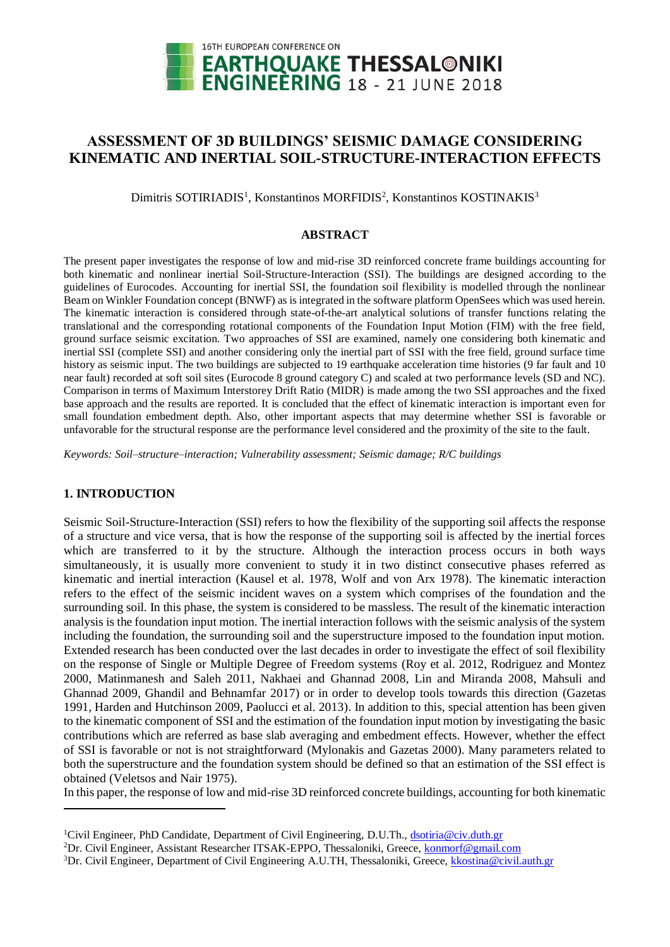

# **ASSESSMENT OF 3D BUILDINGS' SEISMIC DAMAGE CONSIDERING KINEMATIC AND INERTIAL SOIL-STRUCTURE-INTERACTION EFFECTS**

Dimitris SOTIRIADIS<sup>1</sup>, Konstantinos MORFIDIS<sup>2</sup>, Konstantinos KOSTINAKIS<sup>3</sup>

# **ABSTRACT**

The present paper investigates the response of low and mid-rise 3D reinforced concrete frame buildings accounting for both kinematic and nonlinear inertial Soil-Structure-Interaction (SSI). The buildings are designed according to the guidelines of Eurocodes. Accounting for inertial SSI, the foundation soil flexibility is modelled through the nonlinear Beam on Winkler Foundation concept (BNWF) as is integrated in the software platform OpenSees which was used herein. The kinematic interaction is considered through state-of-the-art analytical solutions of transfer functions relating the translational and the corresponding rotational components of the Foundation Input Motion (FIM) with the free field, ground surface seismic excitation. Two approaches of SSI are examined, namely one considering both kinematic and inertial SSI (complete SSI) and another considering only the inertial part of SSI with the free field, ground surface time history as seismic input. The two buildings are subjected to 19 earthquake acceleration time histories (9 far fault and 10 near fault) recorded at soft soil sites (Eurocode 8 ground category C) and scaled at two performance levels (SD and NC). Comparison in terms of Maximum Interstorey Drift Ratio (MIDR) is made among the two SSI approaches and the fixed base approach and the results are reported. It is concluded that the effect of kinematic interaction is important even for small foundation embedment depth. Also, other important aspects that may determine whether SSI is favorable or unfavorable for the structural response are the performance level considered and the proximity of the site to the fault.

*Keywords: Soil–structure–interaction; Vulnerability assessment; Seismic damage; R/C buildings*

# **1. INTRODUCTION**

1

Seismic Soil-Structure-Interaction (SSI) refers to how the flexibility of the supporting soil affects the response of a structure and vice versa, that is how the response of the supporting soil is affected by the inertial forces which are transferred to it by the structure. Although the interaction process occurs in both ways simultaneously, it is usually more convenient to study it in two distinct consecutive phases referred as kinematic and inertial interaction (Kausel et al. 1978, Wolf and von Arx 1978). The kinematic interaction refers to the effect of the seismic incident waves on a system which comprises of the foundation and the surrounding soil. In this phase, the system is considered to be massless. The result of the kinematic interaction analysis is the foundation input motion. The inertial interaction follows with the seismic analysis of the system including the foundation, the surrounding soil and the superstructure imposed to the foundation input motion. Extended research has been conducted over the last decades in order to investigate the effect of soil flexibility on the response of Single or Multiple Degree of Freedom systems (Roy et al. 2012, Rodriguez and Montez 2000, Matinmanesh and Saleh 2011, Nakhaei and Ghannad 2008, Lin and Miranda 2008, Mahsuli and Ghannad 2009, Ghandil and Behnamfar 2017) or in order to develop tools towards this direction (Gazetas 1991, Harden and Hutchinson 2009, Paolucci et al. 2013). In addition to this, special attention has been given to the kinematic component of SSI and the estimation of the foundation input motion by investigating the basic contributions which are referred as base slab averaging and embedment effects. However, whether the effect of SSI is favorable or not is not straightforward (Mylonakis and Gazetas 2000). Many parameters related to both the superstructure and the foundation system should be defined so that an estimation of the SSI effect is obtained (Veletsos and Nair 1975).

In this paper, the response of low and mid-rise 3D reinforced concrete buildings, accounting for both kinematic

<sup>&</sup>lt;sup>1</sup>Civil Engineer, PhD Candidate, Department of Civil Engineering, D.U.Th., [dsotiria@civ.duth.gr](mailto:dsotiria@civ.duth.gr)

<sup>&</sup>lt;sup>2</sup>Dr. Civil Engineer, Assistant Researcher ITSAK-EPPO, Thessaloniki, Greece, **konmorf@gmail.com** 

<sup>&</sup>lt;sup>3</sup>Dr. Civil Engineer, Department of Civil Engineering A.U.TH, Thessaloniki, Greece[, kkostina@civil.auth.gr](mailto:kkostina@civil.auth.gr)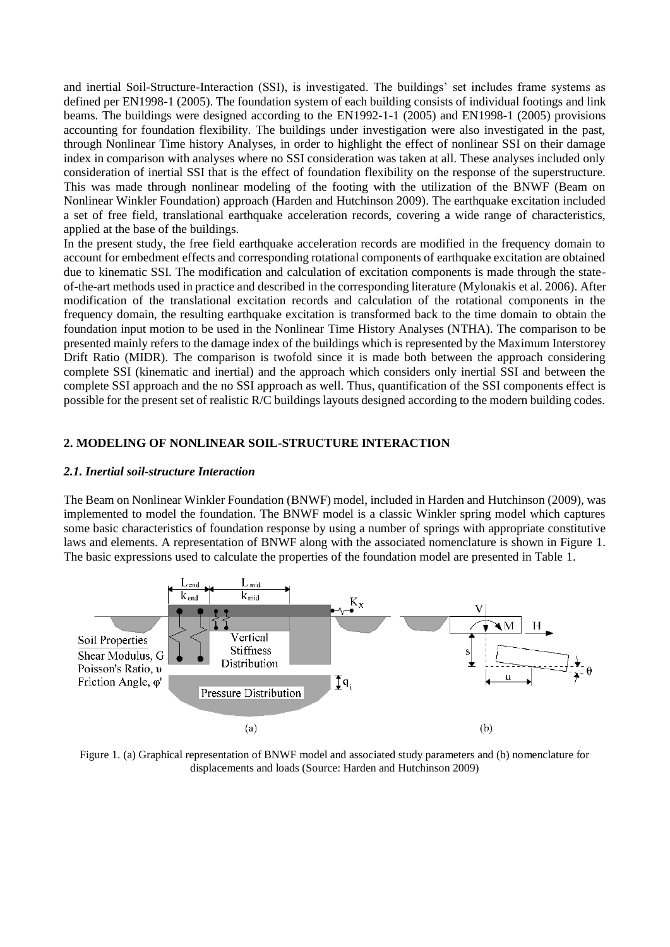and inertial Soil-Structure-Interaction (SSI), is investigated. The buildings' set includes frame systems as defined per EN1998-1 (2005). The foundation system of each building consists of individual footings and link beams. The buildings were designed according to the EN1992-1-1 (2005) and EN1998-1 (2005) provisions accounting for foundation flexibility. The buildings under investigation were also investigated in the past, through Nonlinear Time history Analyses, in order to highlight the effect of nonlinear SSI on their damage index in comparison with analyses where no SSI consideration was taken at all. These analyses included only consideration of inertial SSI that is the effect of foundation flexibility on the response of the superstructure. This was made through nonlinear modeling of the footing with the utilization of the BNWF (Beam on Nonlinear Winkler Foundation) approach (Harden and Hutchinson 2009). The earthquake excitation included a set of free field, translational earthquake acceleration records, covering a wide range of characteristics, applied at the base of the buildings.

In the present study, the free field earthquake acceleration records are modified in the frequency domain to account for embedment effects and corresponding rotational components of earthquake excitation are obtained due to kinematic SSI. The modification and calculation of excitation components is made through the stateof-the-art methods used in practice and described in the corresponding literature (Mylonakis et al. 2006). After modification of the translational excitation records and calculation of the rotational components in the frequency domain, the resulting earthquake excitation is transformed back to the time domain to obtain the foundation input motion to be used in the Nonlinear Time History Analyses (NTHA). The comparison to be presented mainly refers to the damage index of the buildings which is represented by the Maximum Interstorey Drift Ratio (MIDR). The comparison is twofold since it is made both between the approach considering complete SSI (kinematic and inertial) and the approach which considers only inertial SSI and between the complete SSI approach and the no SSI approach as well. Thus, quantification of the SSI components effect is possible for the present set of realistic R/C buildings layouts designed according to the modern building codes.

# **2. MODELING OF NONLINEAR SOIL-STRUCTURE INTERACTION**

#### *2.1. Inertial soil-structure Interaction*

The Beam on Nonlinear Winkler Foundation (BNWF) model, included in Harden and Hutchinson (2009), was implemented to model the foundation. The BNWF model is a classic Winkler spring model which captures some basic characteristics of foundation response by using a number of springs with appropriate constitutive laws and elements. A representation of BNWF along with the associated nomenclature is shown in Figure 1. The basic expressions used to calculate the properties of the foundation model are presented in Table 1.



Figure 1. (a) Graphical representation of BNWF model and associated study parameters and (b) nomenclature for displacements and loads (Source: Harden and Hutchinson 2009)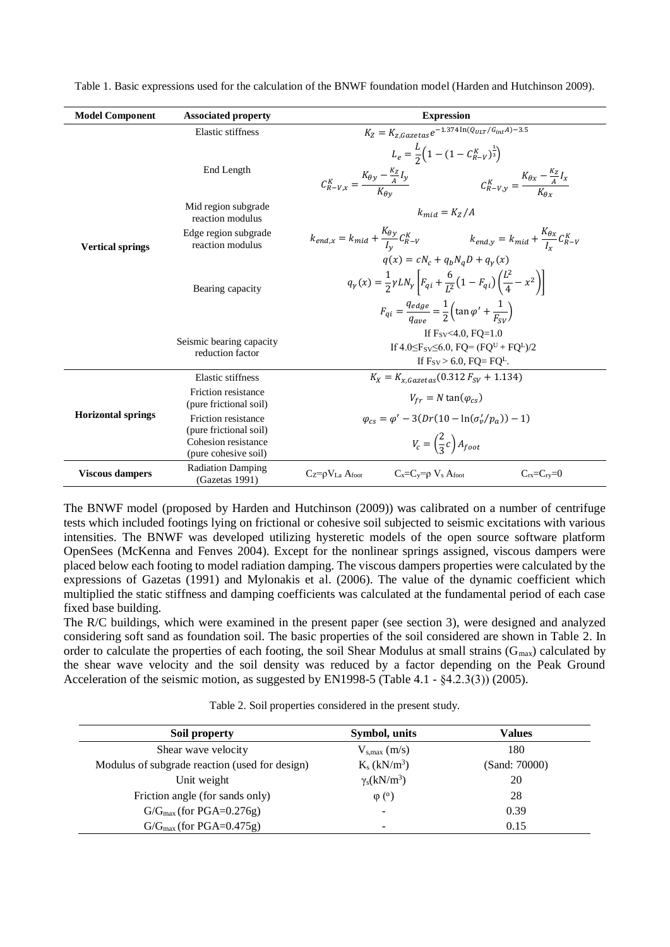| <b>Model Component</b>    | <b>Associated property</b>                                                                   | <b>Expression</b>                                                                                                                                                                                                                                                                                                                  |  |  |  |  |  |  |
|---------------------------|----------------------------------------------------------------------------------------------|------------------------------------------------------------------------------------------------------------------------------------------------------------------------------------------------------------------------------------------------------------------------------------------------------------------------------------|--|--|--|--|--|--|
|                           | Elastic stiffness                                                                            | $K_Z = K_{z,Gazetas}e^{-1.374 \ln(Q_{ULT}/G_{int}A)-3.5}$                                                                                                                                                                                                                                                                          |  |  |  |  |  |  |
|                           | End Length                                                                                   | $L_e = \frac{L}{2} \Big( 1 - (1 - C_{R-V}^K)^{\frac{1}{3}} \Big)$<br>$C_{R-V,x}^K = \frac{K_{\theta y} - \frac{\kappa_Z}{4} I_y}{K_{\theta y}}$ $C_{R-V,y}^K = \frac{K_{\theta x} - \frac{\kappa_Z}{4} I_x}{K_{\theta y}}$                                                                                                         |  |  |  |  |  |  |
|                           | Mid region subgrade<br>reaction modulus                                                      | $k_{mid} = K_z/A$                                                                                                                                                                                                                                                                                                                  |  |  |  |  |  |  |
| <b>Vertical springs</b>   | Edge region subgrade<br>reaction modulus                                                     | $k_{end,x} = k_{mid} + \frac{\kappa_{\theta y}}{l_{v}} C_{R-V}^{K}$ $k_{end,y} = k_{mid} + \frac{\kappa_{\theta x}}{l_{v}} C_{R-V}^{K}$                                                                                                                                                                                            |  |  |  |  |  |  |
|                           | Bearing capacity                                                                             | $q(x) = cN_c + q_hN_aD + q_v(x)$<br>$q_{\gamma}(x) = \frac{1}{2} \gamma L N_{\gamma} \left[ F_{qi} + \frac{6}{L^2} \left( 1 - F_{qi} \right) \left( \frac{L^2}{4} - x^2 \right) \right]$<br>$F_{qi} = \frac{q_{edge}}{q_{max}} = \frac{1}{2} \left( \tan \varphi' + \frac{1}{F_{\text{cyl}}} \right)$<br>If $F_{SV}$ < 4.0, FO=1.0 |  |  |  |  |  |  |
|                           | Seismic bearing capacity<br>reduction factor                                                 | If $4.0 \leq F_{SV} \leq 6.0$ , $FQ = (FQ^{U} + FQ^{L})/2$<br>If $F_{SV} > 6.0$ , $FQ = FQ^L$ .                                                                                                                                                                                                                                    |  |  |  |  |  |  |
|                           | Elastic stiffness                                                                            | $K_X = K_{X \text{ Gazeta}}(0.312 F_{SV} + 1.134)$                                                                                                                                                                                                                                                                                 |  |  |  |  |  |  |
|                           | Friction resistance<br>(pure frictional soil)                                                | $V_{fr} = N \tan(\varphi_{cs})$                                                                                                                                                                                                                                                                                                    |  |  |  |  |  |  |
| <b>Horizontal springs</b> | Friction resistance<br>(pure frictional soil)<br>Cohesion resistance<br>(pure cohesive soil) | $\varphi_{cs} = \varphi' - 3(Dr(10 - \ln(\sigma'_{v}/p_{a})) - 1)$<br>$V_c = \left(\frac{2}{3}c\right)A_{foot}$                                                                                                                                                                                                                    |  |  |  |  |  |  |
| <b>Viscous dampers</b>    | <b>Radiation Damping</b><br>(Gazetas 1991)                                                   | $Cz = \rho V_{La}$ Afoot<br>$C_x=C_y=\rho V_s$ Afoot<br>$C_{rx}=C_{ry}=0$                                                                                                                                                                                                                                                          |  |  |  |  |  |  |

Table 1. Basic expressions used for the calculation of the BNWF foundation model (Harden and Hutchinson 2009).

The BNWF model (proposed by Harden and Hutchinson (2009)) was calibrated on a number of centrifuge tests which included footings lying on frictional or cohesive soil subjected to seismic excitations with various intensities. The BNWF was developed utilizing hysteretic models of the open source software platform OpenSees (McKenna and Fenves 2004). Except for the nonlinear springs assigned, viscous dampers were placed below each footing to model radiation damping. The viscous dampers properties were calculated by the expressions of Gazetas (1991) and Mylonakis et al. (2006). The value of the dynamic coefficient which multiplied the static stiffness and damping coefficients was calculated at the fundamental period of each case fixed base building.

The R/C buildings, which were examined in the present paper (see section 3), were designed and analyzed considering soft sand as foundation soil. The basic properties of the soil considered are shown in Table 2. In order to calculate the properties of each footing, the soil Shear Modulus at small strains  $(G_{max})$  calculated by the shear wave velocity and the soil density was reduced by a factor depending on the Peak Ground Acceleration of the seismic motion, as suggested by EN1998-5 (Table 4.1 -  $(4.2.3(3))$ ) (2005).

Table 2. Soil properties considered in the present study.

| Soil property                                  | Symbol, units              | <b>Values</b> |
|------------------------------------------------|----------------------------|---------------|
| Shear wave velocity                            | $V_{s,max}(m/s)$           | 180           |
| Modulus of subgrade reaction (used for design) | $K_s$ (kN/m <sup>3</sup> ) | (Sand: 70000) |
| Unit weight                                    | $\gamma_s(kN/m^3)$         | 20            |
| Friction angle (for sands only)                | $\varphi$ ( <sup>o</sup> ) | 28            |
| $G/G_{max}$ (for PGA=0.276g)                   | $\overline{\phantom{a}}$   | 0.39          |
| $G/G_{max}$ (for PGA=0.475g)                   | ۰                          | 0.15          |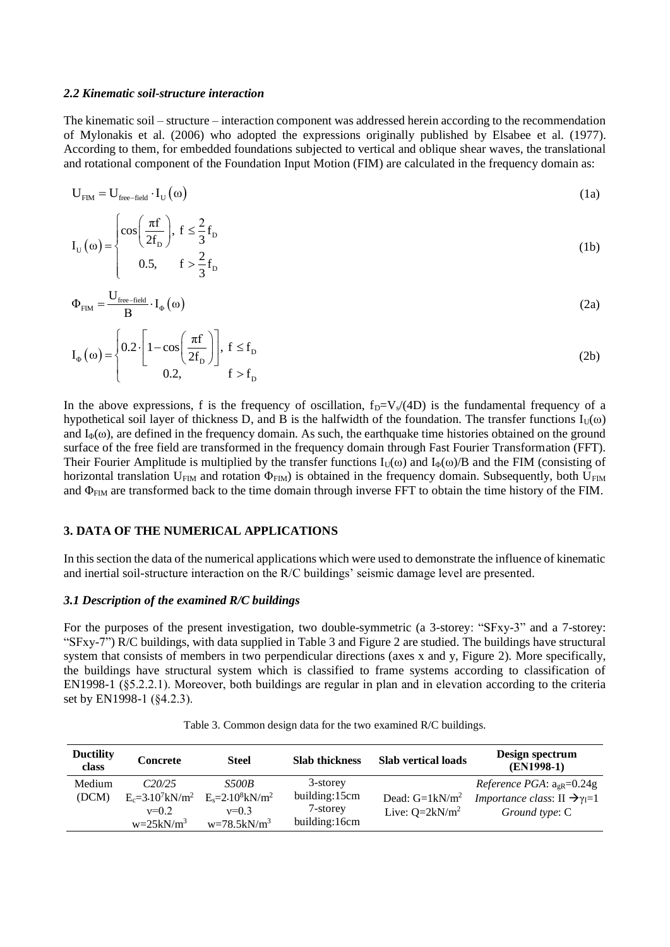#### *2.2 Kinematic soil-structure interaction*

The kinematic soil – structure – interaction component was addressed herein according to the recommendation of Mylonakis et al. (2006) who adopted the expressions originally published by Elsabee et al. (1977). According to them, for embedded foundations subjected to vertical and oblique shear waves, the translational and rotational component of the Foundation Input Motion (FIM) are calculated in the frequency domain as:

$$
U_{\text{FIM}} = U_{\text{free-field}} \cdot I_{U}(\omega) \tag{1a}
$$

$$
I_{U}(\omega) = \begin{cases} \cos\left(\frac{\pi f}{2f_{D}}\right), & f \leq \frac{2}{3}f_{D} \\ 0.5, & f > \frac{2}{3}f_{D} \end{cases}
$$
(1b)

$$
\Phi_{\text{FIM}} = \frac{U_{\text{free-field}}}{B} \cdot I_{\Phi}(\omega)
$$
\n(2a)

$$
I_{\Phi}(\omega) = \begin{cases} 0.2 \cdot \left[ 1 - \cos\left(\frac{\pi f}{2f_D}\right) \right], & f \le f_D \\ 0.2, & f > f_D \end{cases}
$$
 (2b)

In the above expressions, f is the frequency of oscillation,  $f_D=V_s/(4D)$  is the fundamental frequency of a hypothetical soil layer of thickness D, and B is the halfwidth of the foundation. The transfer functions  $I_U(\omega)$ and  $I_{\Phi}(\omega)$ , are defined in the frequency domain. As such, the earthquake time histories obtained on the ground surface of the free field are transformed in the frequency domain through Fast Fourier Transformation (FFT). Their Fourier Amplitude is multiplied by the transfer functions  $I_U(\omega)$  and  $I_\Phi(\omega)/B$  and the FIM (consisting of horizontal translation  $U_{\text{FIM}}$  and rotation  $\Phi_{\text{FIM}}$ ) is obtained in the frequency domain. Subsequently, both  $U_{\text{FIM}}$ and  $\Phi$ <sub>FIM</sub> are transformed back to the time domain through inverse FFT to obtain the time history of the FIM.

#### **3. DATA OF THE NUMERICAL APPLICATIONS**

In this section the data of the numerical applications which were used to demonstrate the influence of kinematic and inertial soil-structure interaction on the R/C buildings' seismic damage level are presented.

#### *3.1 Description of the examined R/C buildings*

For the purposes of the present investigation, two double-symmetric (a 3-storey: "SFxy-3" and a 7-storey: "SFxy-7") R/C buildings, with data supplied in Table 3 and Figure 2 are studied. The buildings have structural system that consists of members in two perpendicular directions (axes x and y, Figure 2). More specifically, the buildings have structural system which is classified to frame systems according to classification of EN1998-1 (§5.2.2.1). Moreover, both buildings are regular in plan and in elevation according to the criteria set by EN1998-1 (§4.2.3).

| <b>Ductility</b><br>class | Concrete                                                              | <b>Steel</b>                                                                  | <b>Slab thickness</b>                                  | <b>Slab vertical loads</b>             | Design spectrum<br>$(EN1998-1)$                                                                                     |
|---------------------------|-----------------------------------------------------------------------|-------------------------------------------------------------------------------|--------------------------------------------------------|----------------------------------------|---------------------------------------------------------------------------------------------------------------------|
| Medium<br>(DCM)           | C20/25<br>$E_c = 3.10^7$ kN/m <sup>2</sup><br>$v=0.2$<br>$w=25kN/m^3$ | <i>S500B</i><br>$E_s = 2.10^8$ kN/m <sup>2</sup><br>$v=0.3$<br>$w=78.5kN/m^3$ | 3-storey<br>building:15cm<br>7-storey<br>building:16cm | Dead: $G=1kN/m^2$<br>Live: $O=2kN/m^2$ | <i>Reference PGA</i> : $a_{gR} = 0.24g$<br><i>Importance class:</i> II $\rightarrow \gamma_{I}=1$<br>Ground type: C |

Table 3. Common design data for the two examined R/C buildings.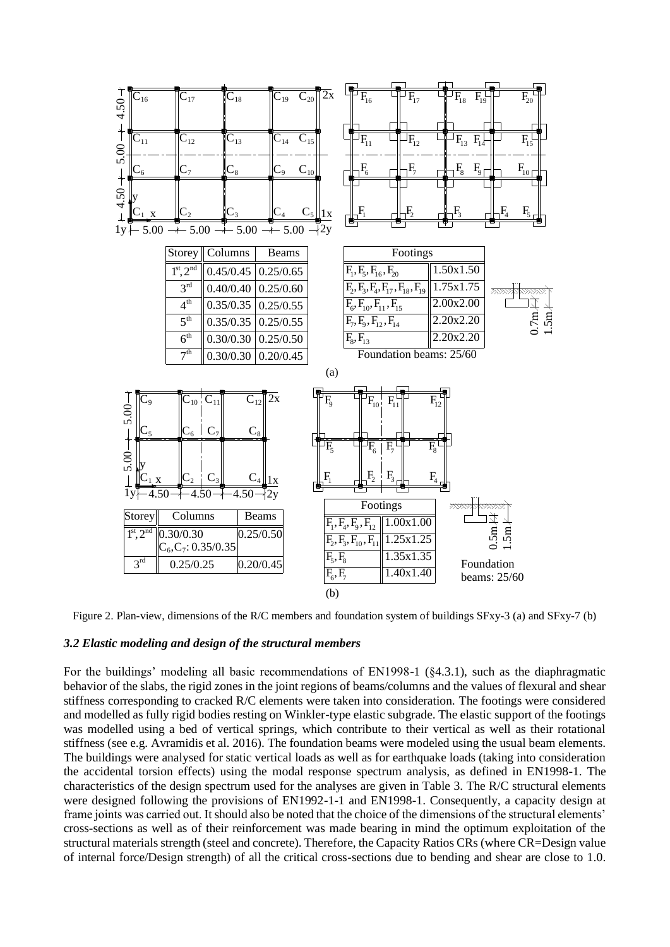

Figure 2. Plan-view, dimensions of the R/C members and foundation system of buildings SFxy-3 (a) and SFxy-7 (b)

#### *3.2 Elastic modeling and design of the structural members*

For the buildings' modeling all basic recommendations of EN1998-1 (§4.3.1), such as the diaphragmatic behavior of the slabs, the rigid zones in the joint regions of beams/columns and the values of flexural and shear stiffness corresponding to cracked R/C elements were taken into consideration. The footings were considered and modelled as fully rigid bodies resting on Winkler-type elastic subgrade. The elastic support of the footings was modelled using a bed of vertical springs, which contribute to their vertical as well as their rotational stiffness (see e.g. Avramidis et al. 2016). The foundation beams were modeled using the usual beam elements. The buildings were analysed for static vertical loads as well as for earthquake loads (taking into consideration the accidental torsion effects) using the modal response spectrum analysis, as defined in EN1998-1. The characteristics of the design spectrum used for the analyses are given in Table 3. The R/C structural elements were designed following the provisions of EN1992-1-1 and EN1998-1. Consequently, a capacity design at frame joints was carried out. Ιt should also be noted that the choice of the dimensions of the structural elements' cross-sections as well as of their reinforcement was made bearing in mind the optimum exploitation of the structural materials strength (steel and concrete). Therefore, the Capacity Ratios CRs (where CR=Design value of internal force/Design strength) of all the critical cross-sections due to bending and shear are close to 1.0.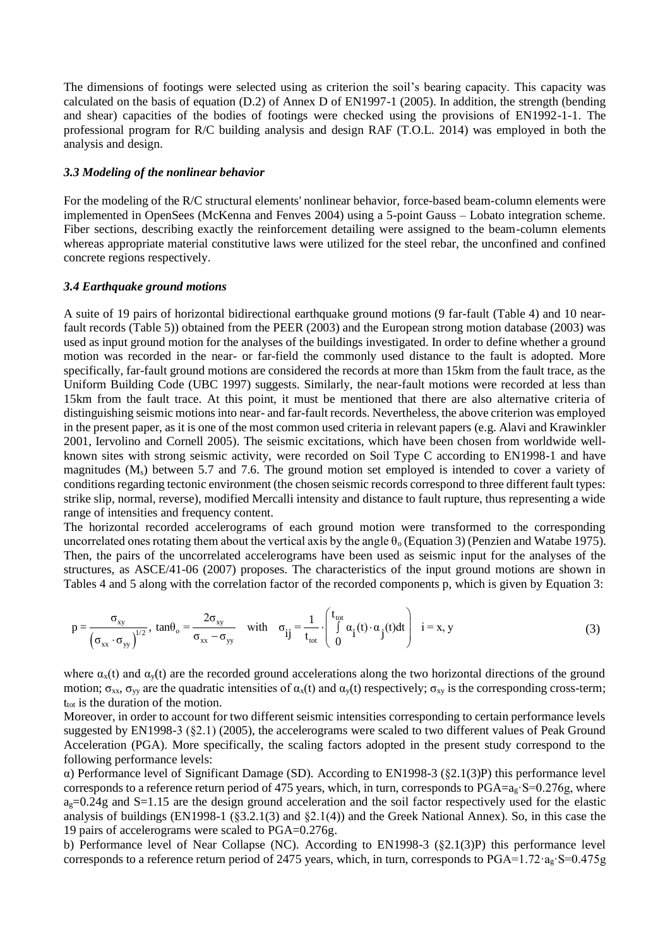The dimensions of footings were selected using as criterion the soil's bearing capacity. This capacity was calculated on the basis of equation (D.2) of Annex D of EN1997-1 (2005). In addition, the strength (bending and shear) capacities of the bodies of footings were checked using the provisions of EN1992-1-1. The professional program for R/C building analysis and design RAF (T.O.L. 2014) was employed in both the analysis and design.

#### *3.3 Modeling of the nonlinear behavior*

For the modeling of the R/C structural elements' nonlinear behavior, force-based beam-column elements were implemented in OpenSees (McKenna and Fenves 2004) using a 5-point Gauss – Lobato integration scheme. Fiber sections, describing exactly the reinforcement detailing were assigned to the beam-column elements whereas appropriate material constitutive laws were utilized for the steel rebar, the unconfined and confined concrete regions respectively.

## *3.4 Earthquake ground motions*

A suite of 19 pairs of horizontal bidirectional earthquake ground motions (9 far-fault (Table 4) and 10 nearfault records (Table 5)) obtained from the PEER (2003) and the European strong motion database (2003) was used as input ground motion for the analyses of the buildings investigated. In order to define whether a ground motion was recorded in the near- or far-field the commonly used distance to the fault is adopted. More specifically, far-fault ground motions are considered the records at more than 15km from the fault trace, as the Uniform Building Code (UBC 1997) suggests. Similarly, the near-fault motions were recorded at less than 15km from the fault trace. At this point, it must be mentioned that there are also alternative criteria of distinguishing seismic motions into near- and far-fault records. Nevertheless, the above criterion was employed in the present paper, as it is one of the most common used criteria in relevant papers (e.g. Alavi and Krawinkler 2001, Iervolino and Cornell 2005). The seismic excitations, which have been chosen from worldwide wellknown sites with strong seismic activity, were recorded on Soil Type C according to EN1998-1 and have magnitudes (M<sub>s</sub>) between 5.7 and 7.6. The ground motion set employed is intended to cover a variety of conditions regarding tectonic environment (the chosen seismic records correspond to three different fault types: strike slip, normal, reverse), modified Mercalli intensity and distance to fault rupture, thus representing a wide range of intensities and frequency content.

The horizontal recorded accelerograms of each ground motion were transformed to the corresponding uncorrelated ones rotating them about the vertical axis by the angle  $\theta_0$  (Equation 3) (Penzien and Watabe 1975). Then, the pairs of the uncorrelated accelerograms have been used as seismic input for the analyses of the structures, as ASCE/41-06 (2007) proposes. The characteristics of the input ground motions are shown in aracteristics of the input gr<br>
e recorded components p, wl<br>  $\begin{pmatrix} t_{\text{tot}} \\ 0 & (t) \cdot \alpha & (t)dt \end{pmatrix}$   $i = x, y$ 

Tables 4 and 5 along with the correlation factor of the recorded components p, which is given by Equation 3:  
\n
$$
p = \frac{\sigma_{xy}}{(\sigma_{xx} \cdot \sigma_{yy})^{1/2}}, \tan \theta_o = \frac{2\sigma_{xy}}{\sigma_{xx} - \sigma_{yy}} \quad \text{with} \quad \sigma_{ij} = \frac{1}{t_{tot}} \cdot \begin{pmatrix} t_{tot} \\ \int a_i(t) \cdot a_j(t) dt \\ 0 \end{pmatrix} \quad i = x, y \tag{3}
$$

where  $\alpha_x(t)$  and  $\alpha_y(t)$  are the recorded ground accelerations along the two horizontal directions of the ground motion;  $\sigma_{xx}$ ,  $\sigma_{yy}$  are the quadratic intensities of  $\alpha_x(t)$  and  $\alpha_y(t)$  respectively;  $\sigma_{xy}$  is the corresponding cross-term;  $t_{\text{tot}}$  is the duration of the motion.

Moreover, in order to account for two different seismic intensities corresponding to certain performance levels suggested by EN1998-3 (§2.1) (2005), the accelerograms were scaled to two different values of Peak Ground Acceleration (PGA). More specifically, the scaling factors adopted in the present study correspond to the following performance levels:

α) Performance level of Significant Damage (SD). According to EN1998-3 (§2.1(3)P) this performance level corresponds to a reference return period of 475 years, which, in turn, corresponds to  $PGA=a<sub>g</sub>$ :  $S=0.276g$ , where  $a<sub>g</sub>=0.24g$  and S=1.15 are the design ground acceleration and the soil factor respectively used for the elastic analysis of buildings (EN1998-1 (§3.2.1(3) and §2.1(4)) and the Greek National Annex). So, in this case the 19 pairs of accelerograms were scaled to PGA=0.276g.

b) Performance level of Near Collapse (NC). According to EN1998-3 (§2.1(3)P) this performance level corresponds to a reference return period of 2475 years, which, in turn, corresponds to PGA=1.72 $\cdot$ ag·S=0.475g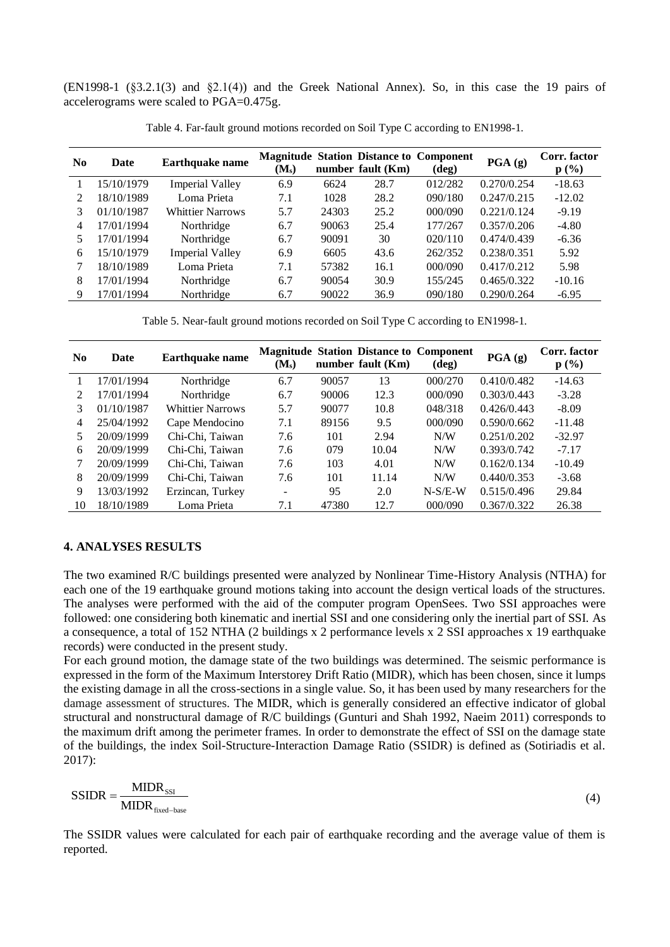(EN1998-1 (§3.2.1(3) and §2.1(4)) and the Greek National Annex). So, in this case the 19 pairs of accelerograms were scaled to PGA=0.475g.

| N <sub>0</sub> | Date       | <b>Earthquake name</b>  | $(M_s)$ |       | number fault (Km) | <b>Magnitude Station Distance to Component</b><br>$(\text{deg})$ | $\textbf{PGA}$ (g) | Corr. factor<br>$p(\%)$ |
|----------------|------------|-------------------------|---------|-------|-------------------|------------------------------------------------------------------|--------------------|-------------------------|
|                | 15/10/1979 | <b>Imperial Valley</b>  | 6.9     | 6624  | 28.7              | 012/282                                                          | 0.270/0.254        | $-18.63$                |
|                | 18/10/1989 | Loma Prieta             | 7.1     | 1028  | 28.2              | 090/180                                                          | 0.247/0.215        | $-12.02$                |
| 3              | 01/10/1987 | <b>Whittier Narrows</b> | 5.7     | 24303 | 25.2              | 000/090                                                          | 0.221/0.124        | $-9.19$                 |
| 4              | 17/01/1994 | Northridge              | 6.7     | 90063 | 25.4              | 177/267                                                          | 0.357/0.206        | $-4.80$                 |
|                | 17/01/1994 | Northridge              | 6.7     | 90091 | 30                | 020/110                                                          | 0.474/0.439        | $-6.36$                 |
| 6              | 15/10/1979 | <b>Imperial Valley</b>  | 6.9     | 6605  | 43.6              | 262/352                                                          | 0.238/0.351        | 5.92                    |
|                | 18/10/1989 | Loma Prieta             | 7.1     | 57382 | 16.1              | 000/090                                                          | 0.417/0.212        | 5.98                    |
| 8              | 17/01/1994 | Northridge              | 6.7     | 90054 | 30.9              | 155/245                                                          | 0.465/0.322        | $-10.16$                |
| 9              | 17/01/1994 | Northridge              | 6.7     | 90022 | 36.9              | 090/180                                                          | 0.290/0.264        | $-6.95$                 |

Table 4. Far-fault ground motions recorded on Soil Type C according to EN1998-1.

Table 5. Near-fault ground motions recorded on Soil Type C according to EN1998-1.

| N <sub>0</sub> | Date       | <b>Earthquake name</b> | $(M_s)$                      |       | number fault (Km) | <b>Magnitude Station Distance to Component</b><br>$(\text{deg})$ | PGA(g)      | Corr. factor<br>p(%) |
|----------------|------------|------------------------|------------------------------|-------|-------------------|------------------------------------------------------------------|-------------|----------------------|
|                | 17/01/1994 | Northridge             | 6.7                          | 90057 | 13                | 000/270                                                          | 0.410/0.482 | $-14.63$             |
| $\mathfrak{D}$ | 17/01/1994 | Northridge             | 6.7                          | 90006 | 12.3              | 000/090                                                          | 0.303/0.443 | $-3.28$              |
| 3              | 01/10/1987 | Whittier Narrows       | 5.7                          | 90077 | 10.8              | 048/318                                                          | 0.426/0.443 | $-8.09$              |
| 4              | 25/04/1992 | Cape Mendocino         | 7.1                          | 89156 | 9.5               | 000/090                                                          | 0.590/0.662 | $-11.48$             |
| 5              | 20/09/1999 | Chi-Chi, Taiwan        | 7.6                          | 101   | 2.94              | N/W                                                              | 0.251/0.202 | $-32.97$             |
| 6              | 20/09/1999 | Chi-Chi, Taiwan        | 7.6                          | 079   | 10.04             | N/W                                                              | 0.393/0.742 | $-7.17$              |
|                | 20/09/1999 | Chi-Chi, Taiwan        | 7.6                          | 103   | 4.01              | N/W                                                              | 0.162/0.134 | $-10.49$             |
| 8              | 20/09/1999 | Chi-Chi, Taiwan        | 7.6                          | 101   | 11.14             | N/W                                                              | 0.440/0.353 | $-3.68$              |
| 9              | 13/03/1992 | Erzincan, Turkey       | $\qquad \qquad \blacksquare$ | 95    | 2.0               | $N-S/E-W$                                                        | 0.515/0.496 | 29.84                |
| 10             | 18/10/1989 | Loma Prieta            | 7.1                          | 47380 | 12.7              | 000/090                                                          | 0.367/0.322 | 26.38                |

# **4. ANALYSES RESULTS**

The two examined R/C buildings presented were analyzed by Nonlinear Time-History Analysis (NTHA) for each one of the 19 earthquake ground motions taking into account the design vertical loads of the structures. The analyses were performed with the aid of the computer program OpenSees. Two SSI approaches were followed: one considering both kinematic and inertial SSI and one considering only the inertial part of SSI. As a consequence, a total of 152 NTHA (2 buildings x 2 performance levels x 2 SSI approaches x 19 earthquake records) were conducted in the present study.

For each ground motion, the damage state of the two buildings was determined. The seismic performance is expressed in the form of the Maximum Interstorey Drift Ratio (MIDR), which has been chosen, since it lumps the existing damage in all the cross-sections in a single value. So, it has been used by many researchers for the damage assessment of structures. The MIDR, which is generally considered an effective indicator of global structural and nonstructural damage of R/C buildings (Gunturi and Shah 1992, Naeim 2011) corresponds to the maximum drift among the perimeter frames. In order to demonstrate the effect of SSI on the damage state of the buildings, the index Soil-Structure-Interaction Damage Ratio (SSIDR) is defined as (Sotiriadis et al. 2017):

$$
SSIDR = \frac{MIDR_{\text{ss1}}}{MIDR_{\text{fixed-base}}} \tag{4}
$$

The SSIDR values were calculated for each pair of earthquake recording and the average value of them is reported.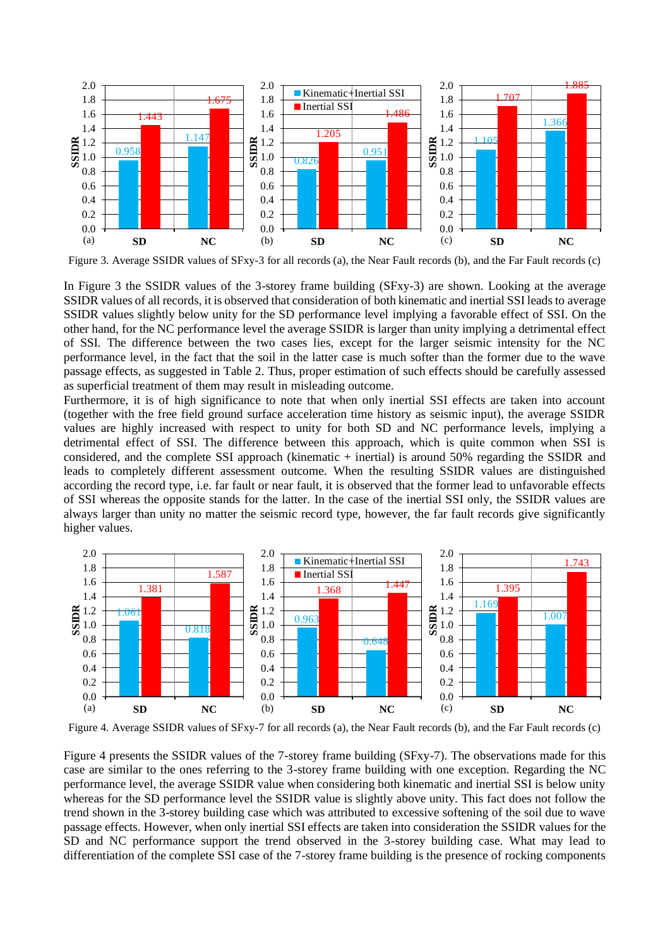

Figure 3. Average SSIDR values of SFxy-3 for all records (a), the Near Fault records (b), and the Far Fault records (c)

In Figure 3 the SSIDR values of the 3-storey frame building (SFxy-3) are shown. Looking at the average SSIDR values of all records, it is observed that consideration of both kinematic and inertial SSI leads to average SSIDR values slightly below unity for the SD performance level implying a favorable effect of SSI. On the other hand, for the NC performance level the average SSIDR is larger than unity implying a detrimental effect of SSI. The difference between the two cases lies, except for the larger seismic intensity for the NC performance level, in the fact that the soil in the latter case is much softer than the former due to the wave passage effects, as suggested in Table 2. Thus, proper estimation of such effects should be carefully assessed as superficial treatment of them may result in misleading outcome.

Furthermore, it is of high significance to note that when only inertial SSI effects are taken into account (together with the free field ground surface acceleration time history as seismic input), the average SSIDR values are highly increased with respect to unity for both SD and NC performance levels, implying a detrimental effect of SSI. The difference between this approach, which is quite common when SSI is considered, and the complete SSI approach (kinematic + inertial) is around 50% regarding the SSIDR and leads to completely different assessment outcome. When the resulting SSIDR values are distinguished according the record type, i.e. far fault or near fault, it is observed that the former lead to unfavorable effects of SSI whereas the opposite stands for the latter. In the case of the inertial SSI only, the SSIDR values are always larger than unity no matter the seismic record type, however, the far fault records give significantly higher values.



Figure 4. Average SSIDR values of SFxy-7 for all records (a), the Near Fault records (b), and the Far Fault records (c)

Figure 4 presents the SSIDR values of the 7-storey frame building (SFxy-7). The observations made for this case are similar to the ones referring to the 3-storey frame building with one exception. Regarding the NC performance level, the average SSIDR value when considering both kinematic and inertial SSI is below unity whereas for the SD performance level the SSIDR value is slightly above unity. This fact does not follow the trend shown in the 3-storey building case which was attributed to excessive softening of the soil due to wave passage effects. However, when only inertial SSI effects are taken into consideration the SSIDR values for the SD and NC performance support the trend observed in the 3-storey building case. What may lead to differentiation of the complete SSI case of the 7-storey frame building is the presence of rocking components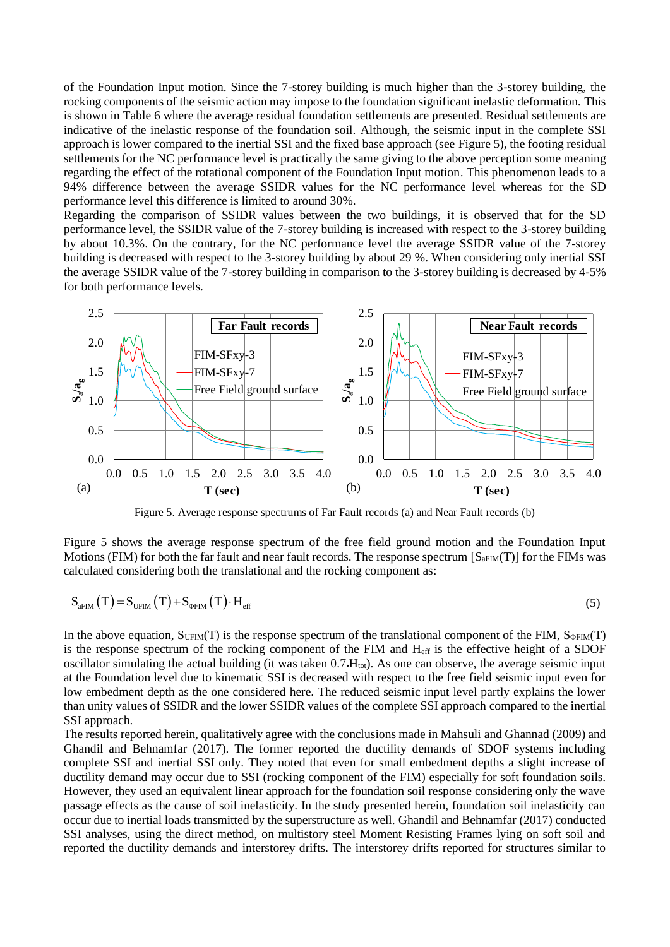of the Foundation Input motion. Since the 7-storey building is much higher than the 3-storey building, the rocking components of the seismic action may impose to the foundation significant inelastic deformation. This is shown in Table 6 where the average residual foundation settlements are presented. Residual settlements are indicative of the inelastic response of the foundation soil. Although, the seismic input in the complete SSI approach is lower compared to the inertial SSI and the fixed base approach (see Figure 5), the footing residual settlements for the NC performance level is practically the same giving to the above perception some meaning regarding the effect of the rotational component of the Foundation Input motion. This phenomenon leads to a 94% difference between the average SSIDR values for the NC performance level whereas for the SD performance level this difference is limited to around 30%.

Regarding the comparison of SSIDR values between the two buildings, it is observed that for the SD performance level, the SSIDR value of the 7-storey building is increased with respect to the 3-storey building by about 10.3%. On the contrary, for the NC performance level the average SSIDR value of the 7-storey building is decreased with respect to the 3-storey building by about 29 %. When considering only inertial SSI the average SSIDR value of the 7-storey building in comparison to the 3-storey building is decreased by 4-5% for both performance levels.



Figure 5. Average response spectrums of Far Fault records (a) and Near Fault records (b)

Figure 5 shows the average response spectrum of the free field ground motion and the Foundation Input Motions (FIM) for both the far fault and near fault records. The response spectrum  $[S_{\text{aFIM}}(T)]$  for the FIMs was calculated considering both the translational and the rocking component as:

$$
S_{aFIM}(T) = S_{UFIM}(T) + S_{\Phi FIM}(T) \cdot H_{eff}
$$
\n(5)

In the above equation,  $S_{UFM}(T)$  is the response spectrum of the translational component of the FIM,  $S_{\phi FIM}(T)$ is the response spectrum of the rocking component of the FIM and Heff is the effective height of a SDOF oscillator simulating the actual building (it was taken  $0.7 \cdot H_{tot}$ ). As one can observe, the average seismic input at the Foundation level due to kinematic SSI is decreased with respect to the free field seismic input even for low embedment depth as the one considered here. The reduced seismic input level partly explains the lower than unity values of SSIDR and the lower SSIDR values of the complete SSI approach compared to the inertial SSI approach.

The results reported herein, qualitatively agree with the conclusions made in Mahsuli and Ghannad (2009) and Ghandil and Behnamfar (2017). The former reported the ductility demands of SDOF systems including complete SSI and inertial SSI only. They noted that even for small embedment depths a slight increase of ductility demand may occur due to SSI (rocking component of the FIM) especially for soft foundation soils. However, they used an equivalent linear approach for the foundation soil response considering only the wave passage effects as the cause of soil inelasticity. In the study presented herein, foundation soil inelasticity can occur due to inertial loads transmitted by the superstructure as well. Ghandil and Behnamfar (2017) conducted SSI analyses, using the direct method, on multistory steel Moment Resisting Frames lying on soft soil and reported the ductility demands and interstorey drifts. The interstorey drifts reported for structures similar to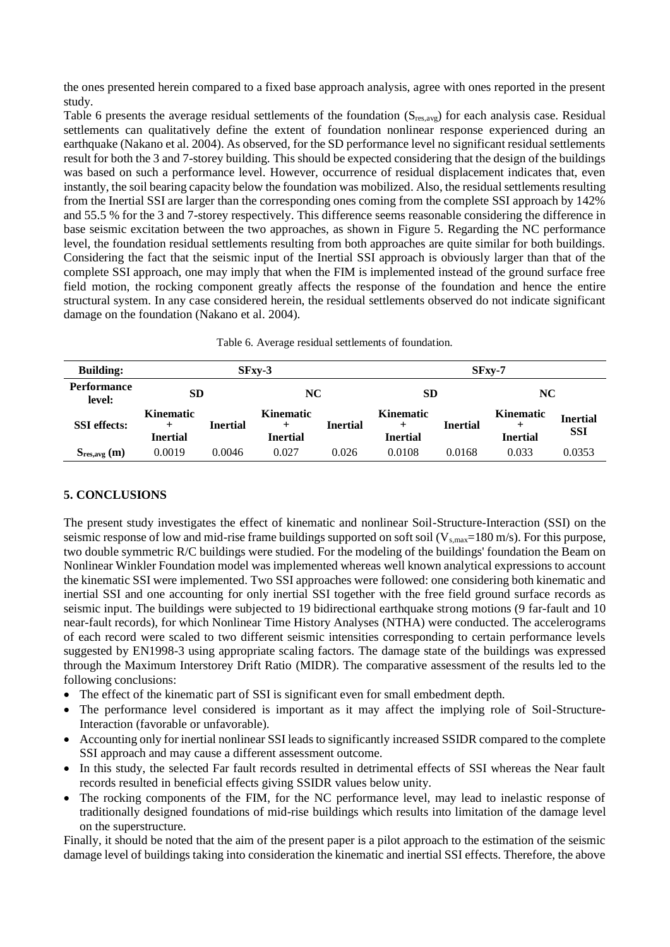the ones presented herein compared to a fixed base approach analysis, agree with ones reported in the present study.

Table 6 presents the average residual settlements of the foundation (Sres,avg) for each analysis case. Residual settlements can qualitatively define the extent of foundation nonlinear response experienced during an earthquake (Nakano et al. 2004). As observed, for the SD performance level no significant residual settlements result for both the 3 and 7-storey building. This should be expected considering that the design of the buildings was based on such a performance level. However, occurrence of residual displacement indicates that, even instantly, the soil bearing capacity below the foundation was mobilized. Also, the residual settlements resulting from the Inertial SSI are larger than the corresponding ones coming from the complete SSI approach by 142% and 55.5 % for the 3 and 7-storey respectively. This difference seems reasonable considering the difference in base seismic excitation between the two approaches, as shown in Figure 5. Regarding the NC performance level, the foundation residual settlements resulting from both approaches are quite similar for both buildings. Considering the fact that the seismic input of the Inertial SSI approach is obviously larger than that of the complete SSI approach, one may imply that when the FIM is implemented instead of the ground surface free field motion, the rocking component greatly affects the response of the foundation and hence the entire structural system. In any case considered herein, the residual settlements observed do not indicate significant damage on the foundation (Nakano et al. 2004).

| <b>Building:</b>      | $SFxv-3$                                         |                 |                                              |                 | $SFxy-7$                                     |                 |                                     |                               |
|-----------------------|--------------------------------------------------|-----------------|----------------------------------------------|-----------------|----------------------------------------------|-----------------|-------------------------------------|-------------------------------|
| Performance<br>level: | <b>SD</b>                                        |                 | NC                                           |                 | SD                                           |                 | <b>NC</b>                           |                               |
| <b>SSI</b> effects:   | <b>Kinematic</b><br>$\ddot{}$<br><b>Inertial</b> | <b>Inertial</b> | <b>Kinematic</b><br>$\pm$<br><b>Inertial</b> | <b>Inertial</b> | <b>Kinematic</b><br>$\pm$<br><b>Inertial</b> | <b>Inertial</b> | <b>Kinematic</b><br><b>Inertial</b> | <b>Inertial</b><br><b>SSI</b> |
| $S_{res, avg}(m)$     | 0.0019                                           | 0.0046          | 0.027                                        | 0.026           | 0.0108                                       | 0.0168          | 0.033                               | 0.0353                        |

# **5. CONCLUSIONS**

The present study investigates the effect of kinematic and nonlinear Soil-Structure-Interaction (SSI) on the seismic response of low and mid-rise frame buildings supported on soft soil  $(V_{s,max}=180 \text{ m/s})$ . For this purpose, two double symmetric R/C buildings were studied. For the modeling of the buildings' foundation the Beam on Nonlinear Winkler Foundation model was implemented whereas well known analytical expressions to account the kinematic SSI were implemented. Two SSI approaches were followed: one considering both kinematic and inertial SSI and one accounting for only inertial SSI together with the free field ground surface records as seismic input. The buildings were subjected to 19 bidirectional earthquake strong motions (9 far-fault and 10 near-fault records), for which Nonlinear Time History Analyses (NTHA) were conducted. The accelerograms of each record were scaled to two different seismic intensities corresponding to certain performance levels suggested by EN1998-3 using appropriate scaling factors. The damage state of the buildings was expressed through the Maximum Interstorey Drift Ratio (MIDR). The comparative assessment of the results led to the following conclusions:

- The effect of the kinematic part of SSI is significant even for small embedment depth.
- The performance level considered is important as it may affect the implying role of Soil-Structure-Interaction (favorable or unfavorable).
- Accounting only for inertial nonlinear SSI leads to significantly increased SSIDR compared to the complete SSI approach and may cause a different assessment outcome.
- In this study, the selected Far fault records resulted in detrimental effects of SSI whereas the Near fault records resulted in beneficial effects giving SSIDR values below unity.
- The rocking components of the FIM, for the NC performance level, may lead to inelastic response of traditionally designed foundations of mid-rise buildings which results into limitation of the damage level on the superstructure.

Finally, it should be noted that the aim of the present paper is a pilot approach to the estimation of the seismic damage level of buildings taking into consideration the kinematic and inertial SSI effects. Therefore, the above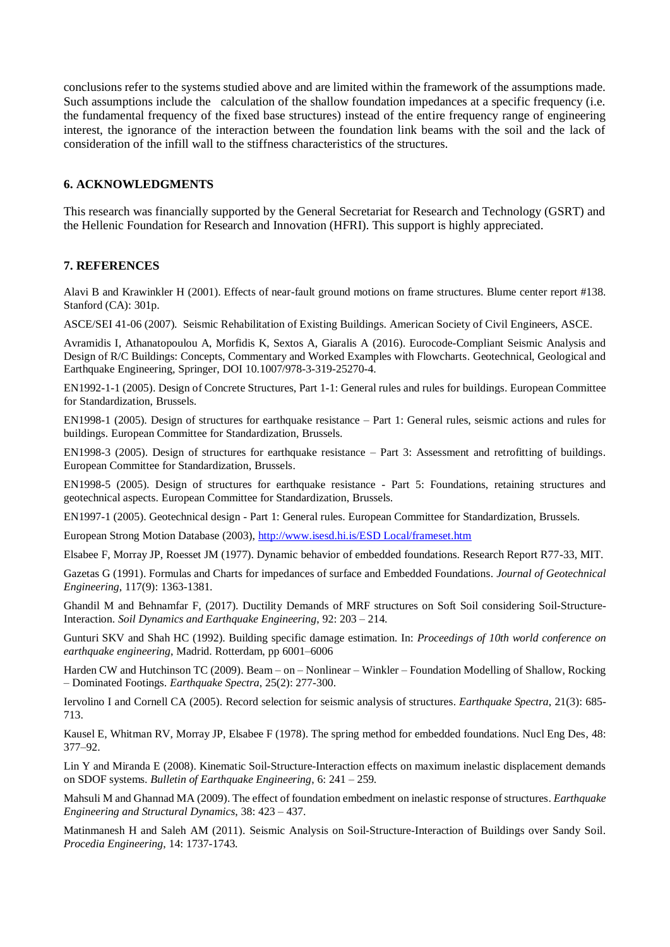conclusions refer to the systems studied above and are limited within the framework of the assumptions made. Such assumptions include the calculation of the shallow foundation impedances at a specific frequency (i.e. the fundamental frequency of the fixed base structures) instead of the entire frequency range of engineering interest, the ignorance of the interaction between the foundation link beams with the soil and the lack of consideration of the infill wall to the stiffness characteristics of the structures.

## **6. ACKNOWLEDGMENTS**

This research was financially supported by the General Secretariat for Research and Technology (GSRT) and the Hellenic Foundation for Research and Innovation (HFRI). This support is highly appreciated.

# **7. REFERENCES**

Alavi B and Krawinkler H (2001). Effects of near-fault ground motions on frame structures. Blume center report #138. Stanford (CA): 301p.

ASCE/SEI 41-06 (2007). Seismic Rehabilitation of Existing Buildings. American Society of Civil Engineers, ASCE.

Avramidis I, Athanatopoulou A, Morfidis K, Sextos A, Giaralis A (2016). Eurocode-Compliant Seismic Analysis and Design of R/C Buildings: Concepts, Commentary and Worked Examples with Flowcharts. Geotechnical, Geological and Earthquake Engineering, Springer, DOI 10.1007/978-3-319-25270-4.

EN1992-1-1 (2005). Design of Concrete Structures, Part 1-1: General rules and rules for buildings. European Committee for Standardization, Brussels.

EN1998-1 (2005). Design of structures for earthquake resistance – Part 1: General rules, seismic actions and rules for buildings. European Committee for Standardization, Brussels.

EN1998-3 (2005). Design of structures for earthquake resistance – Part 3: Assessment and retrofitting of buildings. European Committee for Standardization, Brussels.

EN1998-5 (2005). Design of structures for earthquake resistance - Part 5: Foundations, retaining structures and geotechnical aspects. European Committee for Standardization, Brussels.

EN1997-1 (2005). Geotechnical design - Part 1: General rules. European Committee for Standardization, Brussels.

European Strong Motion Database (2003), [http://www.isesd.hi.is/ESD Local/frameset.htm](http://www.isesd.hi.is/ESD%20Local/frameset.htm)

Elsabee F, Morray JP, Roesset JM (1977). Dynamic behavior of embedded foundations. Research Report R77-33, MIT.

Gazetas G (1991). Formulas and Charts for impedances of surface and Embedded Foundations. *Journal of Geotechnical Engineering*, 117(9): 1363-1381.

Ghandil M and Behnamfar F, (2017). Ductility Demands of MRF structures on Soft Soil considering Soil-Structure-Interaction. *Soil Dynamics and Earthquake Engineering*, 92: 203 – 214.

Gunturi SKV and Shah HC (1992). Building specific damage estimation. In: *Proceedings of 10th world conference on earthquake engineering*, Madrid. Rotterdam, pp 6001–6006

Harden CW and Hutchinson TC (2009). Beam – on – Nonlinear – Winkler – Foundation Modelling of Shallow, Rocking – Dominated Footings. *Earthquake Spectra*, 25(2): 277-300.

Iervolino I and Cornell CA (2005). Record selection for seismic analysis of structures. *Earthquake Spectra*, 21(3): 685- 713.

Kausel E, Whitman RV, Morray JP, Elsabee F (1978). The spring method for embedded foundations. Nucl Eng Des, 48: 377–92.

Lin Y and Miranda E (2008). Kinematic Soil-Structure-Interaction effects on maximum inelastic displacement demands on SDOF systems. *Bulletin of Earthquake Engineering*, 6: 241 – 259.

Mahsuli M and Ghannad MA (2009). The effect of foundation embedment on inelastic response of structures. *Earthquake Engineering and Structural Dynamics*, 38: 423 – 437.

Matinmanesh H and Saleh AM (2011). Seismic Analysis on Soil-Structure-Interaction of Buildings over Sandy Soil. *Procedia Engineering*, 14: 1737-1743.